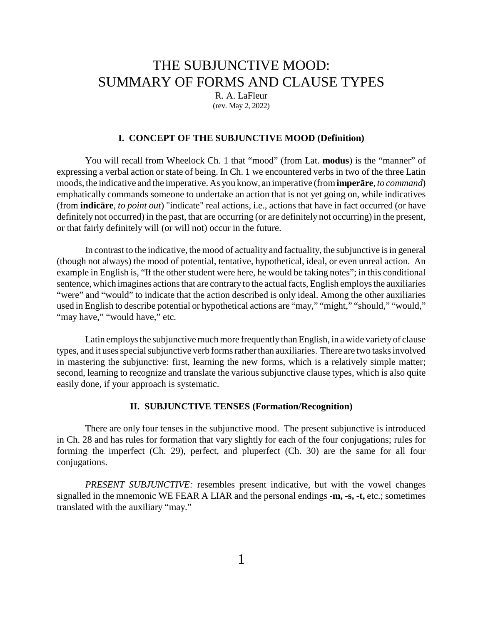# THE SUBJUNCTIVE MOOD: SUMMARY OF FORMS AND CLAUSE TYPES

R. A. LaFleur (rev. May 2, 2022)

# **I. CONCEPT OF THE SUBJUNCTIVE MOOD (Definition)**

You will recall from Wheelock Ch. 1 that "mood" (from Lat. **modus**) is the "manner" of expressing a verbal action or state of being. In Ch. 1 we encountered verbs in two of the three Latin moods, the indicative and the imperative. As you know, an imperative (from **imper re**, *to command*) emphatically commands someone to undertake an action that is not yet going on, while indicatives (from **indic re**, *to point out*) "indicate" real actions, i.e., actions that have in fact occurred (or have definitely not occurred) in the past, that are occurring (or are definitely not occurring) in the present, or that fairly definitely will (or will not) occur in the future.

In contrast to the indicative, the mood of actuality and factuality, the subjunctive is in general (though not always) the mood of potential, tentative, hypothetical, ideal, or even unreal action. An example in English is, "If the other student were here, he would be taking notes"; in this conditional sentence, which imagines actions that are contrary to the actual facts, English employs the auxiliaries "were" and "would" to indicate that the action described is only ideal. Among the other auxiliaries used in English to describe potential or hypothetical actions are "may," "might," "should," "would," "may have," "would have," etc.

Latin employs the subjunctive much more frequently than English, in a wide varietyof clause types, and it uses special subjunctive verb forms rather than auxiliaries. There are two tasks involved in mastering the subjunctive: first, learning the new forms, which is a relatively simple matter; second, learning to recognize and translate the various subjunctive clause types, which is also quite easily done, if your approach is systematic.

#### **II. SUBJUNCTIVE TENSES (Formation/Recognition)**

There are only four tenses in the subjunctive mood. The present subjunctive is introduced in Ch. 28 and has rules for formation that vary slightly for each of the four conjugations; rules for forming the imperfect (Ch. 29), perfect, and pluperfect (Ch. 30) are the same for all four conjugations.

*PRESENT SUBJUNCTIVE:* resembles present indicative, but with the vowel changes signalled in the mnemonic WE FEAR A LIAR and the personal endings **-m, -s, -t,** etc.; sometimes translated with the auxiliary "may."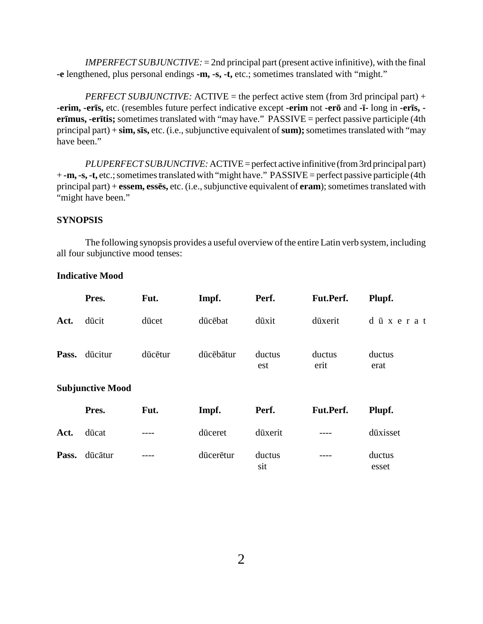*IMPERFECT SUBJUNCTIVE:* = 2nd principal part (present active infinitive), with the final **-e** lengthened, plus personal endings **-m, -s, -t,** etc.; sometimes translated with "might."

*PERFECT SUBJUNCTIVE:* ACTIVE = the perfect active stem (from 3rd principal part) + **-erim, -er s,** etc. (resembles future perfect indicative except **-erim** not **-er** and **- -** long in **-er s, er mus, -er tis;** sometimes translated with "may have." PASSIVE = perfect passive participle (4th principal part) + **sim, s s,** etc. (i.e., subjunctive equivalent of **sum);**sometimes translated with "may have been."

*PLUPERFECT SUBJUNCTIVE:*ACTIVE=perfect active infinitive (from 3rd principal part) + **-m, -s, -t,** etc.; sometimes translated with "might have." PASSIVE = perfect passive participle (4th principal part) + **essem, ess s,** etc. (i.e., subjunctive equivalent of **eram**); sometimes translated with "might have been."

# **SYNOPSIS**

The following synopsis provides a useful overview of the entire Latin verb system, including all four subjunctive mood tenses:

# **Indicative Mood**

|      | Pres.                   | Fut.    | Impf.     | Perf.         | Fut.Perf.      | Plupf.          |
|------|-------------------------|---------|-----------|---------------|----------------|-----------------|
| Act. | d cit                   | d cet   | d c bat   | d xit         | d xerit        | d<br>x e r a t  |
|      | Pass. d citur           | d c tur | d c b tur | ductus<br>est | ductus<br>erit | ductus<br>erat  |
|      | <b>Subjunctive Mood</b> |         |           |               |                |                 |
|      | Pres.                   | Fut.    | Impf.     | Perf.         | Fut.Perf.      | Plupf.          |
| Act. | d cat                   |         | d ceret   | d xerit       |                | d xisset        |
|      | Pass. d c tur           |         | d cer tur | ductus<br>sit |                | ductus<br>esset |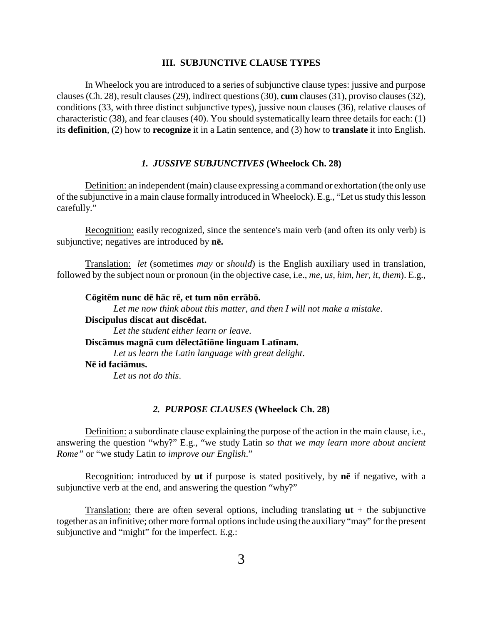## **III. SUBJUNCTIVE CLAUSE TYPES**

In Wheelock you are introduced to a series of subjunctive clause types: jussive and purpose clauses (Ch. 28), result clauses (29), indirect questions (30), **cum** clauses (31), proviso clauses (32), conditions (33, with three distinct subjunctive types), jussive noun clauses (36), relative clauses of characteristic (38), and fear clauses (40). You should systematically learn three details for each: (1) its **definition**, (2) how to **recognize** it in a Latin sentence, and (3) how to **translate** it into English.

#### *1. JUSSIVE SUBJUNCTIVES* **(Wheelock Ch. 28)**

Definition: an independent (main) clause expressing a command or exhortation (the only use of the subjunctive in a main clause formally introduced in Wheelock). E.g., "Let us study this lesson carefully."

Recognition: easily recognized, since the sentence's main verb (and often its only verb) is subjunctive; negatives are introduced by **n .**

Translation: *let* (sometimes *may* or *should*) is the English auxiliary used in translation, followed by the subject noun or pronoun (in the objective case, i.e., *me, us, him, her, it, them*). E.g.,

**C git m nunc d h c r , et tum n n err b .** *Let me now think about this matter, and then I will not make a mistake*. **Discipulus discat aut disc dat.** *Let the student either learn or leave*. **Disc mus magn cum d lect ti ne linguam Lat nam.** *Let us learn the Latin language with great delight*. **N id faci mus.** *Let us not do this*.

## *2. PURPOSE CLAUSES* **(Wheelock Ch. 28)**

Definition: a subordinate clause explaining the purpose of the action in the main clause, i.e., answering the question "why?" E.g., "we study Latin *so that we may learn more about ancient Rome"* or "we study Latin *to improve our English*."

Recognition: introduced by **ut** if purpose is stated positively, by **n** if negative, with a subjunctive verb at the end, and answering the question "why?"

Translation: there are often several options, including translating  $ut + th$ e subjunctive together as an infinitive; other more formal options include using the auxiliary "may" for the present subjunctive and "might" for the imperfect. E.g.: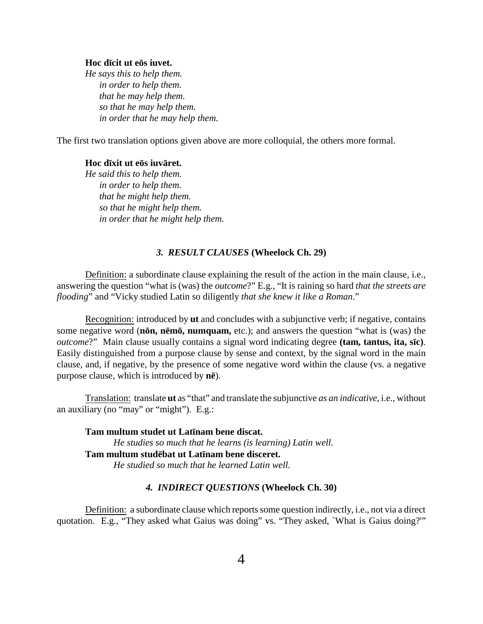#### **Hoc d cit ut e s iuvet.**

*He says this to help them. in order to help them. that he may help them. so that he may help them. in order that he may help them.*

The first two translation options given above are more colloquial, the others more formal.

**Hoc d xit ut e s iuv ret.**

*He said this to help them. in order to help them. that he might help them. so that he might help them. in order that he might help them.*

# *3. RESULT CLAUSES* **(Wheelock Ch. 29)**

Definition: a subordinate clause explaining the result of the action in the main clause, i.e., answering the question "what is (was) the *outcome*?" E.g., "It is raining so hard *that the streets are flooding*" and "Vicky studied Latin so diligently *that she knew it like a Roman*."

Recognition: introduced by **ut** and concludes with a subjunctive verb; if negative, contains some negative word (**n n, n m , numquam,** etc.); and answers the question "what is (was) the *outcome*?" Main clause usually contains a signal word indicating degree **(tam, tantus, ita, s c)**. Easily distinguished from a purpose clause by sense and context, by the signal word in the main clause, and, if negative, by the presence of some negative word within the clause (vs. a negative purpose clause, which is introduced by **n** ).

Translation: translate **ut** as "that" and translate the subjunctive *as an indicative*, i.e., without an auxiliary (no "may" or "might"). E.g.:

**Tam multum studet ut Lat nam bene discat.** *He studies so much that he learns (is learning) Latin well.* **Tam multum stud bat ut Lat nam bene disceret.** *He studied so much that he learned Latin well.*

# *4. INDIRECT QUESTIONS* **(Wheelock Ch. 30)**

Definition: a subordinate clause which reports some question indirectly, i.e., not via a direct quotation. E.g., "They asked what Gaius was doing" vs. "They asked, `What is Gaius doing?'"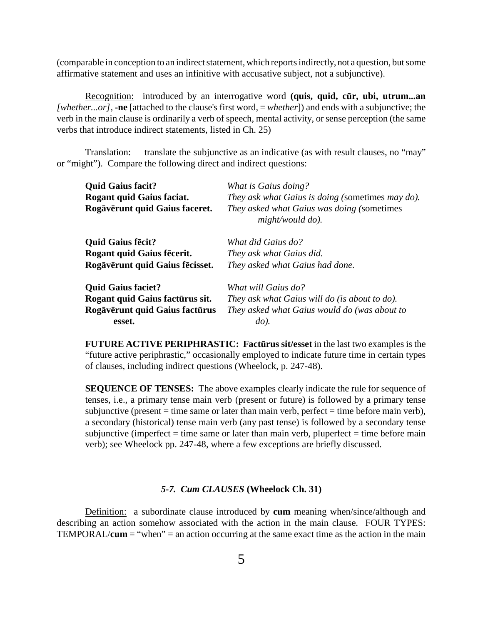(comparable in conception to an indirect statement, which reports indirectly, not a question, but some affirmative statement and uses an infinitive with accusative subject, not a subjunctive).

Recognition: introduced by an interrogative word **(quis, quid, c r, ubi, utrum...an** *[whether...or],* **-ne** [attached to the clause's first word, = *whether*]) and ends with a subjunctive; the verb in the main clause is ordinarily a verb of speech, mental activity, or sense perception (the same verbs that introduce indirect statements, listed in Ch. 25)

Translation: translate the subjunctive as an indicative (as with result clauses, no "may" or "might"). Compare the following direct and indirect questions:

| <b>Quid Gaius facit?</b>          | What is Gaius doing?<br>They ask what Gaius is doing (sometimes may do). |  |  |  |
|-----------------------------------|--------------------------------------------------------------------------|--|--|--|
| <b>Rogant quid Gaius faciat.</b>  |                                                                          |  |  |  |
| Rog v runt quid Gaius faceret.    | They asked what Gaius was doing (sometimes<br>might/would do).           |  |  |  |
| <b>Quid Gaius f cit?</b>          | What did Gaius do?                                                       |  |  |  |
| <b>Rogant quid Gaius f cerit.</b> | They ask what Gaius did.                                                 |  |  |  |
| Rog v runt quid Gaius f cisset.   | They asked what Gaius had done.                                          |  |  |  |
| <b>Quid Gaius faciet?</b>         | What will Gaius do?                                                      |  |  |  |
| Rogant quid Gaius fact rus sit.   | They ask what Gaius will do (is about to do).                            |  |  |  |
| Rog v runt quid Gaius fact rus    | They asked what Gaius would do (was about to                             |  |  |  |
| esset.                            | $d$ o).                                                                  |  |  |  |

**FUTURE ACTIVE PERIPHRASTIC: Fact rus sit/esset** in the last two examples is the "future active periphrastic," occasionally employed to indicate future time in certain types of clauses, including indirect questions (Wheelock, p. 247-48).

**SEQUENCE OF TENSES:** The above examples clearly indicate the rule for sequence of tenses, i.e., a primary tense main verb (present or future) is followed by a primary tense subjunctive (present  $=$  time same or later than main verb, perfect  $=$  time before main verb), a secondary (historical) tense main verb (any past tense) is followed by a secondary tense subjunctive (imperfect  $=$  time same or later than main verb, pluperfect  $=$  time before main verb); see Wheelock pp. 247-48, where a few exceptions are briefly discussed.

## *5-7. Cum CLAUSES* **(Wheelock Ch. 31)**

Definition: a subordinate clause introduced by **cum** meaning when/since/although and describing an action somehow associated with the action in the main clause. FOUR TYPES: TEMPORAL/**cum** = "when" = an action occurring at the same exact time as the action in the main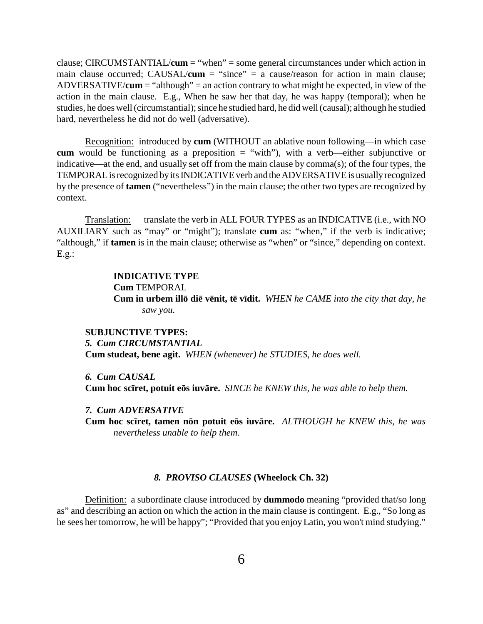clause; CIRCUMSTANTIAL/**cum** = "when" = some general circumstances under which action in main clause occurred; CAUSAL/**cum** = "since" = a cause/reason for action in main clause; ADVERSATIVE/**cum** = "although" = an action contrary to what might be expected, in view of the action in the main clause. E.g., When he saw her that day, he was happy (temporal); when he studies, he does well (circumstantial); since he studied hard, he did well (causal); although he studied hard, nevertheless he did not do well (adversative).

Recognition: introduced by **cum** (WITHOUT an ablative noun following—in which case **cum** would be functioning as a preposition  $=$  "with"), with a verb—either subjunctive or indicative—at the end, and usually set off from the main clause by comma(s); of the four types, the TEMPORALis recognized byits INDICATIVE verb and theADVERSATIVE is usuallyrecognized by the presence of **tamen** ("nevertheless") in the main clause; the other two types are recognized by context.

Translation: translate the verb in ALL FOUR TYPES as an INDICATIVE (i.e., with NO AUXILIARY such as "may" or "might"); translate **cum** as: "when," if the verb is indicative; "although," if **tamen** is in the main clause; otherwise as "when" or "since," depending on context.  $E.g.:$ 

# **INDICATIVE TYPE Cum** TEMPORAL **Cum in urbem ill di v nit, t v dit.** *WHEN he CAME into the city that day, he saw you.*

# **SUBJUNCTIVE TYPES:** *5. Cum CIRCUMSTANTIAL* **Cum studeat, bene agit.** *WHEN (whenever) he STUDIES, he does well.*

*6. Cum CAUSAL* **Cum hoc sc ret, potuit e s iuv re.** *SINCE he KNEW this, he was able to help them.*

# *7. Cum ADVERSATIVE*

**Cum hoc sc ret, tamen n n potuit e s iuv re.** *ALTHOUGH he KNEW this, he was nevertheless unable to help them.*

#### *8. PROVISO CLAUSES* **(Wheelock Ch. 32)**

Definition: a subordinate clause introduced by **dummodo** meaning "provided that/so long as" and describing an action on which the action in the main clause is contingent. E.g., "So long as he sees her tomorrow, he will be happy"; "Provided that you enjoyLatin, you won't mind studying."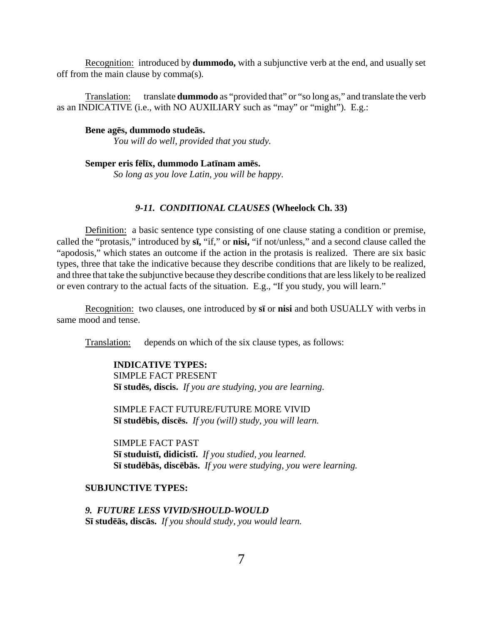Recognition: introduced by **dummodo,** with a subjunctive verb at the end, and usually set off from the main clause by comma(s).

Translation: translate **dummodo** as "provided that" or "so long as," and translate the verb as an INDICATIVE (i.e., with NO AUXILIARY such as "may" or "might"). E.g.:

**Bene ag s, dummodo stude s.**

*You will do well, provided that you study.*

**Semper eris f l x, dummodo Lat nam am s.**

*So long as you love Latin, you will be happy.*

# *9-11. CONDITIONAL CLAUSES* **(Wheelock Ch. 33)**

Definition: a basic sentence type consisting of one clause stating a condition or premise, called the "protasis," introduced by **s ,** "if," or **nisi,** "if not/unless," and a second clause called the "apodosis," which states an outcome if the action in the protasis is realized. There are six basic types, three that take the indicative because they describe conditions that are likely to be realized, and three that take the subjunctive because they describe conditions that are less likely to be realized or even contrary to the actual facts of the situation. E.g., "If you study, you will learn."

Recognition: two clauses, one introduced by **s** or **nisi** and both USUALLY with verbs in same mood and tense.

Translation: depends on which of the six clause types, as follows:

**INDICATIVE TYPES:** SIMPLE FACT PRESENT **S stud s, discis.** *If you are studying, you are learning.*

SIMPLE FACT FUTURE/FUTURE MORE VIVID **S stud bis, disc s.** *If you (will) study, you will learn.*

SIMPLE FACT PAST **S studuist , didicist .** *If you studied, you learned.* **S stud b s, disc b s.** *If you were studying, you were learning.*

# **SUBJUNCTIVE TYPES:**

# *9. FUTURE LESS VIVID/SHOULD-WOULD*

**S** stud **s, disc s.** *If you should study, you would learn.*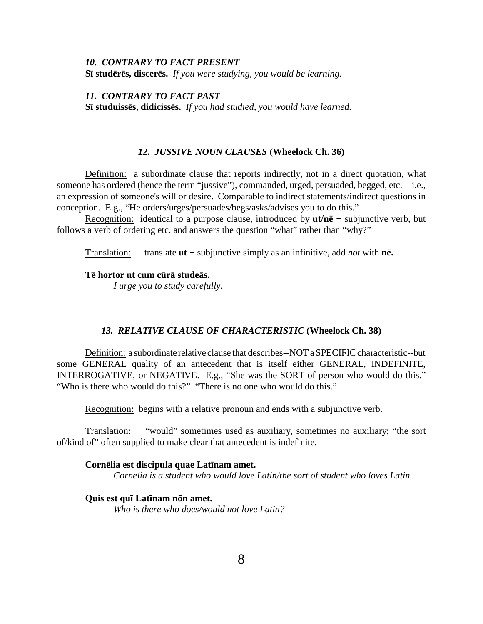#### *10. CONTRARY TO FACT PRESENT*

**S stud r s, discer s.** *If you were studying, you would be learning.*

*11. CONTRARY TO FACT PAST*

**S studuiss s, didiciss s.** *If you had studied, you would have learned.*

#### *12. JUSSIVE NOUN CLAUSES* **(Wheelock Ch. 36)**

Definition: a subordinate clause that reports indirectly, not in a direct quotation, what someone has ordered (hence the term "jussive"), commanded, urged, persuaded, begged, etc.—i.e., an expression of someone's will or desire. Comparable to indirect statements/indirect questions in conception. E.g., "He orders/urges/persuades/begs/asks/advises you to do this."

Recognition: identical to a purpose clause, introduced by  $u t/n$  + subjunctive verb, but follows a verb of ordering etc. and answers the question "what" rather than "why?"

Translation: translate **ut** + subjunctive simply as an infinitive, add *not* with **n .**

## **T hortor ut cum c r stude s.**

*I urge you to study carefully.*

# *13. RELATIVE CLAUSE OF CHARACTERISTIC* **(Wheelock Ch. 38)**

Definition: a subordinate relative clause that describes--NOT a SPECIFIC characteristic--but some GENERAL quality of an antecedent that is itself either GENERAL, INDEFINITE, INTERROGATIVE, or NEGATIVE. E.g., "She was the SORT of person who would do this." "Who is there who would do this?" "There is no one who would do this."

Recognition: begins with a relative pronoun and ends with a subjunctive verb.

Translation: "would" sometimes used as auxiliary, sometimes no auxiliary; "the sort of/kind of" often supplied to make clear that antecedent is indefinite.

#### **Corn lia est discipula quae Lat nam amet.**

*Cornelia is a student who would love Latin/the sort of student who loves Latin.*

# **Quis est qu Lat nam n n amet.**

*Who is there who does/would not love Latin?*